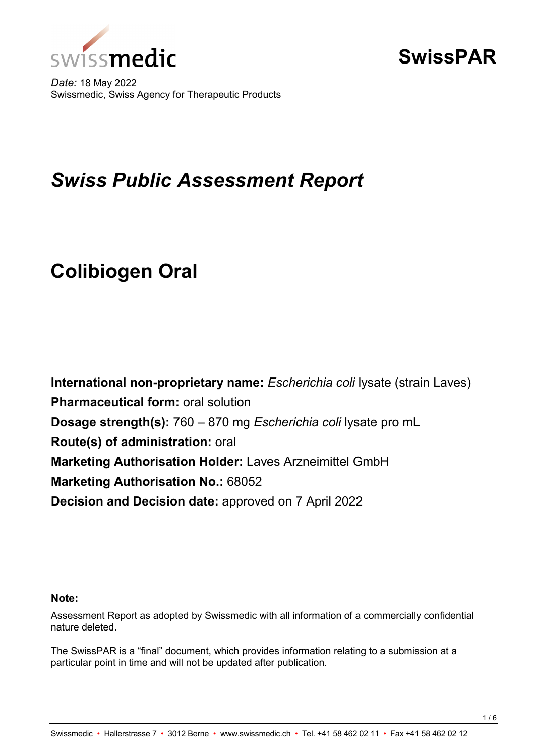

*Date:* 18 May 2022 Swissmedic, Swiss Agency for Therapeutic Products

# *Swiss Public Assessment Report*

# **Colibiogen Oral**

**International non-proprietary name:** *Escherichia coli* lysate (strain Laves) **Pharmaceutical form:** oral solution **Dosage strength(s):** 760 – 870 mg *Escherichia coli* lysate pro mL **Route(s) of administration:** oral **Marketing Authorisation Holder:** Laves Arzneimittel GmbH **Marketing Authorisation No.: 68052 Decision and Decision date:** approved on 7 April 2022

#### **Note:**

Assessment Report as adopted by Swissmedic with all information of a commercially confidential nature deleted.

The SwissPAR is a "final" document, which provides information relating to a submission at a particular point in time and will not be updated after publication.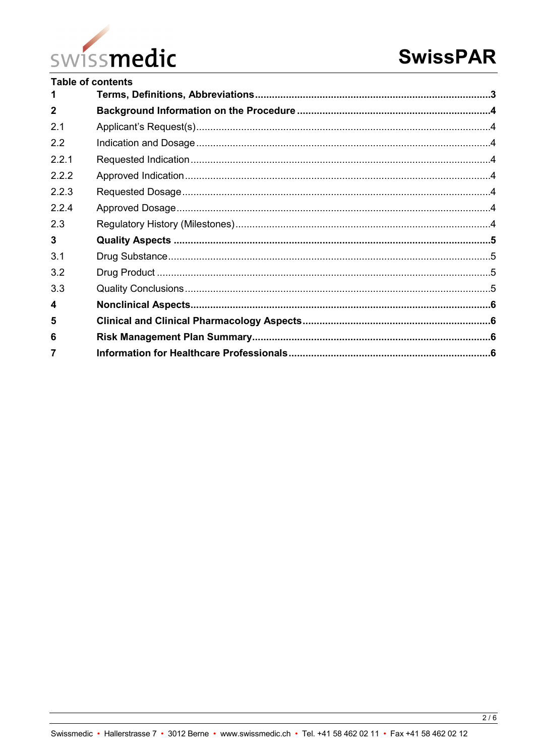

| Table of contents |  |  |  |
|-------------------|--|--|--|
| 1                 |  |  |  |
| $\mathbf{2}$      |  |  |  |
| 2.1               |  |  |  |
| 2.2               |  |  |  |
| 221               |  |  |  |
| 2.2.2             |  |  |  |
| 2.2.3             |  |  |  |
| 224               |  |  |  |
| 2.3               |  |  |  |
| $\mathbf{3}$      |  |  |  |
| 3.1               |  |  |  |
| 3.2               |  |  |  |
| 3.3               |  |  |  |
| $\boldsymbol{4}$  |  |  |  |
| 5                 |  |  |  |
| 6                 |  |  |  |
| 7                 |  |  |  |
|                   |  |  |  |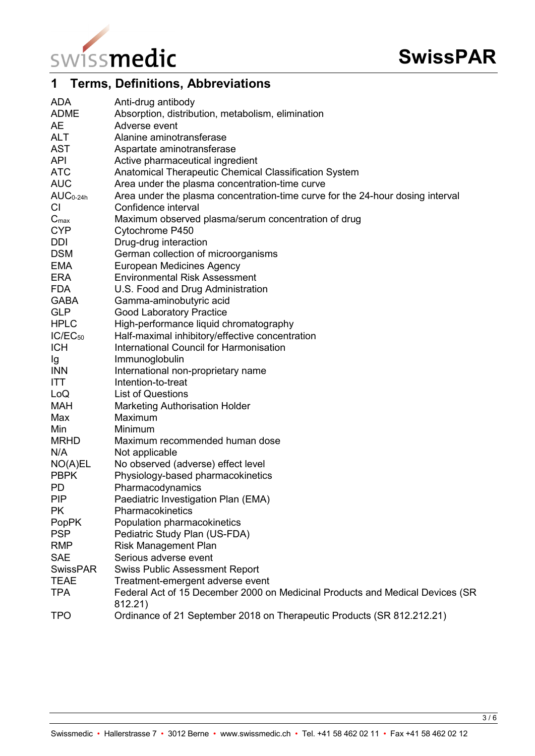

# <span id="page-2-0"></span>**1 Terms, Definitions, Abbreviations**

| <b>ADA</b>       | Anti-drug antibody                                                                       |
|------------------|------------------------------------------------------------------------------------------|
| <b>ADME</b>      | Absorption, distribution, metabolism, elimination                                        |
| AE               | Adverse event                                                                            |
| <b>ALT</b>       | Alanine aminotransferase                                                                 |
| <b>AST</b>       | Aspartate aminotransferase                                                               |
| <b>API</b>       | Active pharmaceutical ingredient                                                         |
| <b>ATC</b>       | Anatomical Therapeutic Chemical Classification System                                    |
| <b>AUC</b>       | Area under the plasma concentration-time curve                                           |
| $AUC_{0-24h}$    | Area under the plasma concentration-time curve for the 24-hour dosing interval           |
| <b>CI</b>        | Confidence interval                                                                      |
| $C_{\text{max}}$ | Maximum observed plasma/serum concentration of drug                                      |
| <b>CYP</b>       | Cytochrome P450                                                                          |
| <b>DDI</b>       | Drug-drug interaction                                                                    |
| <b>DSM</b>       | German collection of microorganisms                                                      |
| <b>EMA</b>       | <b>European Medicines Agency</b>                                                         |
| <b>ERA</b>       | <b>Environmental Risk Assessment</b>                                                     |
| <b>FDA</b>       | U.S. Food and Drug Administration                                                        |
| <b>GABA</b>      | Gamma-aminobutyric acid                                                                  |
| <b>GLP</b>       | <b>Good Laboratory Practice</b>                                                          |
| <b>HPLC</b>      | High-performance liquid chromatography                                                   |
| $IC/EC_{50}$     | Half-maximal inhibitory/effective concentration                                          |
| <b>ICH</b>       | International Council for Harmonisation                                                  |
| Ig               | Immunoglobulin                                                                           |
| <b>INN</b>       | International non-proprietary name                                                       |
| ITT.             | Intention-to-treat                                                                       |
| LoQ              | <b>List of Questions</b>                                                                 |
| <b>MAH</b>       | <b>Marketing Authorisation Holder</b>                                                    |
| Max              | Maximum                                                                                  |
| Min              | Minimum                                                                                  |
| <b>MRHD</b>      | Maximum recommended human dose                                                           |
| N/A              | Not applicable                                                                           |
| NO(A)EL          | No observed (adverse) effect level                                                       |
| <b>PBPK</b>      | Physiology-based pharmacokinetics                                                        |
| PD               | Pharmacodynamics                                                                         |
| <b>PIP</b>       | Paediatric Investigation Plan (EMA)                                                      |
| <b>PK</b>        | Pharmacokinetics                                                                         |
| <b>PopPK</b>     | Population pharmacokinetics                                                              |
| <b>PSP</b>       | Pediatric Study Plan (US-FDA)                                                            |
| <b>RMP</b>       | <b>Risk Management Plan</b>                                                              |
| <b>SAE</b>       | Serious adverse event                                                                    |
| <b>SwissPAR</b>  | <b>Swiss Public Assessment Report</b>                                                    |
| <b>TEAE</b>      | Treatment-emergent adverse event                                                         |
| <b>TPA</b>       | Federal Act of 15 December 2000 on Medicinal Products and Medical Devices (SR<br>812.21) |
| <b>TPO</b>       | Ordinance of 21 September 2018 on Therapeutic Products (SR 812.212.21)                   |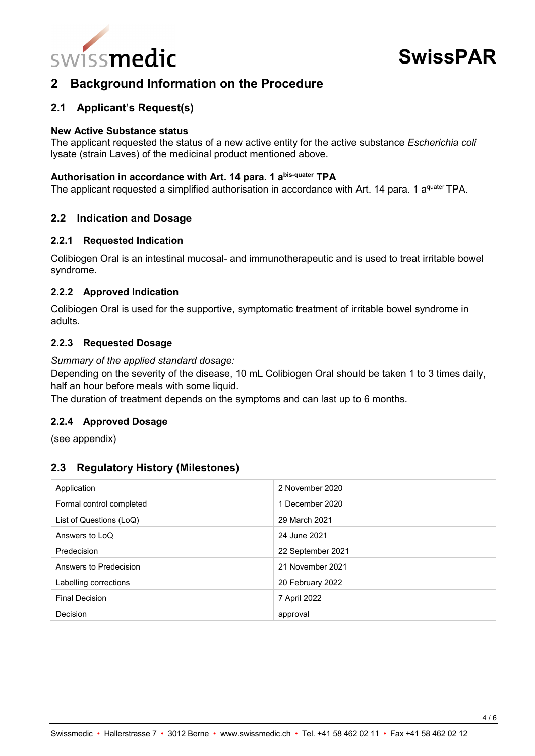

## <span id="page-3-0"></span>**2 Background Information on the Procedure**

### <span id="page-3-1"></span>**2.1 Applicant's Request(s)**

#### **New Active Substance status**

The applicant requested the status of a new active entity for the active substance *Escherichia coli* lysate (strain Laves) of the medicinal product mentioned above.

#### **Authorisation in accordance with Art. 14 para. 1 abis-quater TPA**

The applicant requested a simplified authorisation in accordance with Art. 14 para. 1 aquater TPA.

#### <span id="page-3-2"></span>**2.2 Indication and Dosage**

#### <span id="page-3-3"></span>**2.2.1 Requested Indication**

Colibiogen Oral is an intestinal mucosal- and immunotherapeutic and is used to treat irritable bowel syndrome.

#### <span id="page-3-4"></span>**2.2.2 Approved Indication**

Colibiogen Oral is used for the supportive, symptomatic treatment of irritable bowel syndrome in adults.

#### <span id="page-3-5"></span>**2.2.3 Requested Dosage**

*Summary of the applied standard dosage:*

Depending on the severity of the disease, 10 mL Colibiogen Oral should be taken 1 to 3 times daily, half an hour before meals with some liquid.

The duration of treatment depends on the symptoms and can last up to 6 months.

#### <span id="page-3-6"></span>**2.2.4 Approved Dosage**

(see appendix)

#### <span id="page-3-7"></span>**2.3 Regulatory History (Milestones)**

| Application              | 2 November 2020   |
|--------------------------|-------------------|
| Formal control completed | 1 December 2020   |
| List of Questions (LoQ)  | 29 March 2021     |
| Answers to LoQ           | 24 June 2021      |
| Predecision              | 22 September 2021 |
| Answers to Predecision   | 21 November 2021  |
| Labelling corrections    | 20 February 2022  |
| <b>Final Decision</b>    | 7 April 2022      |
| Decision                 | approval          |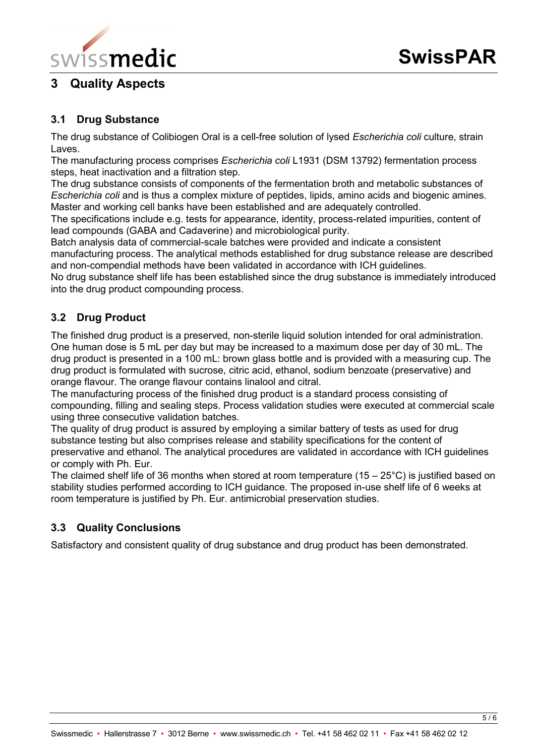

# <span id="page-4-0"></span>**3 Quality Aspects**

## <span id="page-4-1"></span>**3.1 Drug Substance**

The drug substance of Colibiogen Oral is a cell-free solution of lysed *Escherichia coli* culture, strain Laves.

The manufacturing process comprises *Escherichia coli* L1931 (DSM 13792) fermentation process steps, heat inactivation and a filtration step.

The drug substance consists of components of the fermentation broth and metabolic substances of *Escherichia coli* and is thus a complex mixture of peptides, lipids, amino acids and biogenic amines. Master and working cell banks have been established and are adequately controlled.

The specifications include e.g. tests for appearance, identity, process-related impurities, content of lead compounds (GABA and Cadaverine) and microbiological purity.

Batch analysis data of commercial-scale batches were provided and indicate a consistent manufacturing process. The analytical methods established for drug substance release are described and non-compendial methods have been validated in accordance with ICH guidelines.

No drug substance shelf life has been established since the drug substance is immediately introduced into the drug product compounding process.

## <span id="page-4-2"></span>**3.2 Drug Product**

The finished drug product is a preserved, non-sterile liquid solution intended for oral administration. One human dose is 5 mL per day but may be increased to a maximum dose per day of 30 mL. The drug product is presented in a 100 mL: brown glass bottle and is provided with a measuring cup. The drug product is formulated with sucrose, citric acid, ethanol, sodium benzoate (preservative) and orange flavour. The orange flavour contains linalool and citral.

The manufacturing process of the finished drug product is a standard process consisting of compounding, filling and sealing steps. Process validation studies were executed at commercial scale using three consecutive validation batches.

The quality of drug product is assured by employing a similar battery of tests as used for drug substance testing but also comprises release and stability specifications for the content of preservative and ethanol. The analytical procedures are validated in accordance with ICH guidelines or comply with Ph. Eur.

The claimed shelf life of 36 months when stored at room temperature (15 – 25°C) is justified based on stability studies performed according to ICH guidance. The proposed in-use shelf life of 6 weeks at room temperature is justified by Ph. Eur. antimicrobial preservation studies.

## <span id="page-4-3"></span>**3.3 Quality Conclusions**

Satisfactory and consistent quality of drug substance and drug product has been demonstrated.